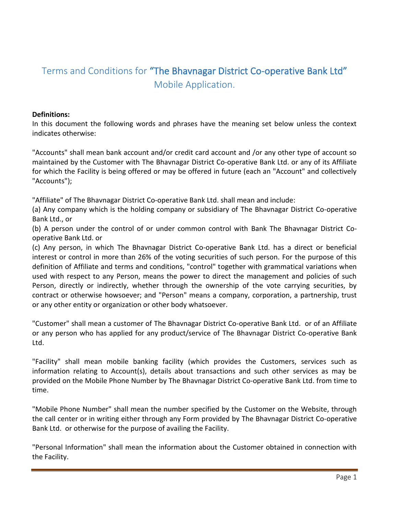# Terms and Conditions for "The Bhavnagar District Co-operative Bank Ltd" Mobile Application.

#### **Definitions:**

In this document the following words and phrases have the meaning set below unless the context indicates otherwise:

"Accounts" shall mean bank account and/or credit card account and /or any other type of account so maintained by the Customer with The Bhavnagar District Co-operative Bank Ltd. or any of its Affiliate for which the Facility is being offered or may be offered in future (each an "Account" and collectively "Accounts");

"Affiliate" of The Bhavnagar District Co-operative Bank Ltd. shall mean and include:

(a) Any company which is the holding company or subsidiary of The Bhavnagar District Co-operative Bank Ltd., or

(b) A person under the control of or under common control with Bank The Bhavnagar District Cooperative Bank Ltd. or

(c) Any person, in which The Bhavnagar District Co-operative Bank Ltd. has a direct or beneficial interest or control in more than 26% of the voting securities of such person. For the purpose of this definition of Affiliate and terms and conditions, "control" together with grammatical variations when used with respect to any Person, means the power to direct the management and policies of such Person, directly or indirectly, whether through the ownership of the vote carrying securities, by contract or otherwise howsoever; and "Person" means a company, corporation, a partnership, trust or any other entity or organization or other body whatsoever.

"Customer" shall mean a customer of The Bhavnagar District Co-operative Bank Ltd. or of an Affiliate or any person who has applied for any product/service of The Bhavnagar District Co-operative Bank Ltd.

"Facility" shall mean mobile banking facility (which provides the Customers, services such as information relating to Account(s), details about transactions and such other services as may be provided on the Mobile Phone Number by The Bhavnagar District Co-operative Bank Ltd. from time to time.

"Mobile Phone Number" shall mean the number specified by the Customer on the Website, through the call center or in writing either through any Form provided by The Bhavnagar District Co-operative Bank Ltd. or otherwise for the purpose of availing the Facility.

"Personal Information" shall mean the information about the Customer obtained in connection with the Facility.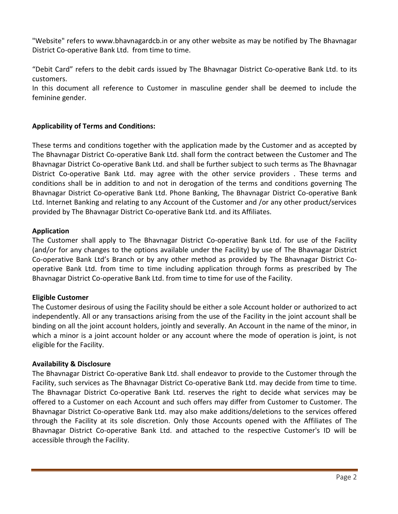"Website" refers to www.bhavnagardcb.in or any other website as may be notified by The Bhavnagar District Co-operative Bank Ltd. from time to time.

"Debit Card" refers to the debit cards issued by The Bhavnagar District Co-operative Bank Ltd. to its customers.

In this document all reference to Customer in masculine gender shall be deemed to include the feminine gender.

# **Applicability of Terms and Conditions:**

These terms and conditions together with the application made by the Customer and as accepted by The Bhavnagar District Co-operative Bank Ltd. shall form the contract between the Customer and The Bhavnagar District Co-operative Bank Ltd. and shall be further subject to such terms as The Bhavnagar District Co-operative Bank Ltd. may agree with the other service providers . These terms and conditions shall be in addition to and not in derogation of the terms and conditions governing The Bhavnagar District Co-operative Bank Ltd. Phone Banking, The Bhavnagar District Co-operative Bank Ltd. Internet Banking and relating to any Account of the Customer and /or any other product/services provided by The Bhavnagar District Co-operative Bank Ltd. and its Affiliates.

#### **Application**

The Customer shall apply to The Bhavnagar District Co-operative Bank Ltd. for use of the Facility (and/or for any changes to the options available under the Facility) by use of The Bhavnagar District Co-operative Bank Ltd's Branch or by any other method as provided by The Bhavnagar District Cooperative Bank Ltd. from time to time including application through forms as prescribed by The Bhavnagar District Co-operative Bank Ltd. from time to time for use of the Facility.

#### **Eligible Customer**

The Customer desirous of using the Facility should be either a sole Account holder or authorized to act independently. All or any transactions arising from the use of the Facility in the joint account shall be binding on all the joint account holders, jointly and severally. An Account in the name of the minor, in which a minor is a joint account holder or any account where the mode of operation is joint, is not eligible for the Facility.

#### **Availability & Disclosure**

The Bhavnagar District Co-operative Bank Ltd. shall endeavor to provide to the Customer through the Facility, such services as The Bhavnagar District Co-operative Bank Ltd. may decide from time to time. The Bhavnagar District Co-operative Bank Ltd. reserves the right to decide what services may be offered to a Customer on each Account and such offers may differ from Customer to Customer. The Bhavnagar District Co-operative Bank Ltd. may also make additions/deletions to the services offered through the Facility at its sole discretion. Only those Accounts opened with the Affiliates of The Bhavnagar District Co-operative Bank Ltd. and attached to the respective Customer's ID will be accessible through the Facility.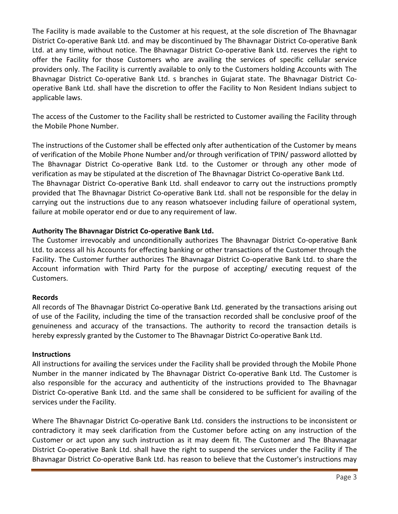The Facility is made available to the Customer at his request, at the sole discretion of The Bhavnagar District Co-operative Bank Ltd. and may be discontinued by The Bhavnagar District Co-operative Bank Ltd. at any time, without notice. The Bhavnagar District Co-operative Bank Ltd. reserves the right to offer the Facility for those Customers who are availing the services of specific cellular service providers only. The Facility is currently available to only to the Customers holding Accounts with The Bhavnagar District Co-operative Bank Ltd. s branches in Gujarat state. The Bhavnagar District Cooperative Bank Ltd. shall have the discretion to offer the Facility to Non Resident Indians subject to applicable laws.

The access of the Customer to the Facility shall be restricted to Customer availing the Facility through the Mobile Phone Number.

The instructions of the Customer shall be effected only after authentication of the Customer by means of verification of the Mobile Phone Number and/or through verification of TPIN/ password allotted by The Bhavnagar District Co-operative Bank Ltd. to the Customer or through any other mode of verification as may be stipulated at the discretion of The Bhavnagar District Co-operative Bank Ltd. The Bhavnagar District Co-operative Bank Ltd. shall endeavor to carry out the instructions promptly provided that The Bhavnagar District Co-operative Bank Ltd. shall not be responsible for the delay in carrying out the instructions due to any reason whatsoever including failure of operational system, failure at mobile operator end or due to any requirement of law.

## **Authority The Bhavnagar District Co-operative Bank Ltd.**

The Customer irrevocably and unconditionally authorizes The Bhavnagar District Co-operative Bank Ltd. to access all his Accounts for effecting banking or other transactions of the Customer through the Facility. The Customer further authorizes The Bhavnagar District Co-operative Bank Ltd. to share the Account information with Third Party for the purpose of accepting/ executing request of the Customers.

#### **Records**

All records of The Bhavnagar District Co-operative Bank Ltd. generated by the transactions arising out of use of the Facility, including the time of the transaction recorded shall be conclusive proof of the genuineness and accuracy of the transactions. The authority to record the transaction details is hereby expressly granted by the Customer to The Bhavnagar District Co-operative Bank Ltd.

#### **Instructions**

All instructions for availing the services under the Facility shall be provided through the Mobile Phone Number in the manner indicated by The Bhavnagar District Co-operative Bank Ltd. The Customer is also responsible for the accuracy and authenticity of the instructions provided to The Bhavnagar District Co-operative Bank Ltd. and the same shall be considered to be sufficient for availing of the services under the Facility.

Where The Bhavnagar District Co-operative Bank Ltd. considers the instructions to be inconsistent or contradictory it may seek clarification from the Customer before acting on any instruction of the Customer or act upon any such instruction as it may deem fit. The Customer and The Bhavnagar District Co-operative Bank Ltd. shall have the right to suspend the services under the Facility if The Bhavnagar District Co-operative Bank Ltd. has reason to believe that the Customer's instructions may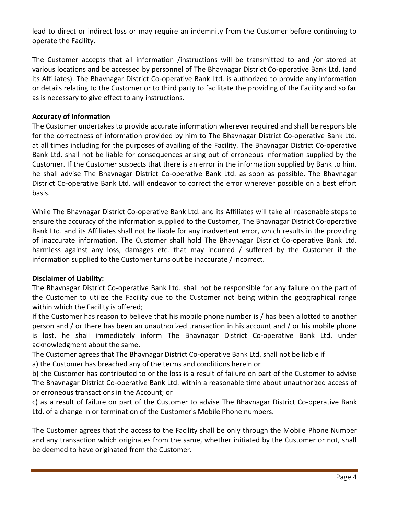lead to direct or indirect loss or may require an indemnity from the Customer before continuing to operate the Facility.

The Customer accepts that all information /instructions will be transmitted to and /or stored at various locations and be accessed by personnel of The Bhavnagar District Co-operative Bank Ltd. (and its Affiliates). The Bhavnagar District Co-operative Bank Ltd. is authorized to provide any information or details relating to the Customer or to third party to facilitate the providing of the Facility and so far as is necessary to give effect to any instructions.

## **Accuracy of Information**

The Customer undertakes to provide accurate information wherever required and shall be responsible for the correctness of information provided by him to The Bhavnagar District Co-operative Bank Ltd. at all times including for the purposes of availing of the Facility. The Bhavnagar District Co-operative Bank Ltd. shall not be liable for consequences arising out of erroneous information supplied by the Customer. If the Customer suspects that there is an error in the information supplied by Bank to him, he shall advise The Bhavnagar District Co-operative Bank Ltd. as soon as possible. The Bhavnagar District Co-operative Bank Ltd. will endeavor to correct the error wherever possible on a best effort basis.

While The Bhavnagar District Co-operative Bank Ltd. and its Affiliates will take all reasonable steps to ensure the accuracy of the information supplied to the Customer, The Bhavnagar District Co-operative Bank Ltd. and its Affiliates shall not be liable for any inadvertent error, which results in the providing of inaccurate information. The Customer shall hold The Bhavnagar District Co-operative Bank Ltd. harmless against any loss, damages etc. that may incurred / suffered by the Customer if the information supplied to the Customer turns out be inaccurate / incorrect.

# **Disclaimer of Liability:**

The Bhavnagar District Co-operative Bank Ltd. shall not be responsible for any failure on the part of the Customer to utilize the Facility due to the Customer not being within the geographical range within which the Facility is offered;

If the Customer has reason to believe that his mobile phone number is / has been allotted to another person and / or there has been an unauthorized transaction in his account and / or his mobile phone is lost, he shall immediately inform The Bhavnagar District Co-operative Bank Ltd. under acknowledgment about the same.

The Customer agrees that The Bhavnagar District Co-operative Bank Ltd. shall not be liable if a) the Customer has breached any of the terms and conditions herein or

b) the Customer has contributed to or the loss is a result of failure on part of the Customer to advise The Bhavnagar District Co-operative Bank Ltd. within a reasonable time about unauthorized access of or erroneous transactions in the Account; or

c) as a result of failure on part of the Customer to advise The Bhavnagar District Co-operative Bank Ltd. of a change in or termination of the Customer's Mobile Phone numbers.

The Customer agrees that the access to the Facility shall be only through the Mobile Phone Number and any transaction which originates from the same, whether initiated by the Customer or not, shall be deemed to have originated from the Customer.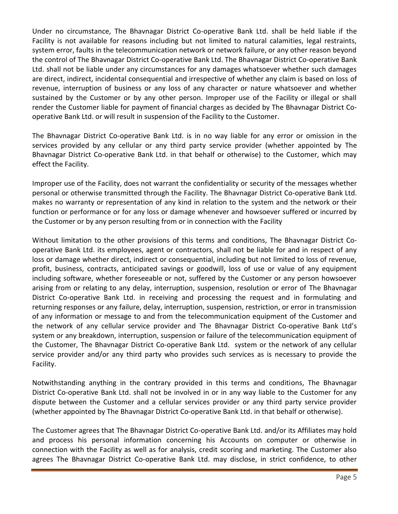Under no circumstance, The Bhavnagar District Co-operative Bank Ltd. shall be held liable if the Facility is not available for reasons including but not limited to natural calamities, legal restraints, system error, faults in the telecommunication network or network failure, or any other reason beyond the control of The Bhavnagar District Co-operative Bank Ltd. The Bhavnagar District Co-operative Bank Ltd. shall not be liable under any circumstances for any damages whatsoever whether such damages are direct, indirect, incidental consequential and irrespective of whether any claim is based on loss of revenue, interruption of business or any loss of any character or nature whatsoever and whether sustained by the Customer or by any other person. Improper use of the Facility or illegal or shall render the Customer liable for payment of financial charges as decided by The Bhavnagar District Cooperative Bank Ltd. or will result in suspension of the Facility to the Customer.

The Bhavnagar District Co-operative Bank Ltd. is in no way liable for any error or omission in the services provided by any cellular or any third party service provider (whether appointed by The Bhavnagar District Co-operative Bank Ltd. in that behalf or otherwise) to the Customer, which may effect the Facility.

Improper use of the Facility, does not warrant the confidentiality or security of the messages whether personal or otherwise transmitted through the Facility. The Bhavnagar District Co-operative Bank Ltd. makes no warranty or representation of any kind in relation to the system and the network or their function or performance or for any loss or damage whenever and howsoever suffered or incurred by the Customer or by any person resulting from or in connection with the Facility

Without limitation to the other provisions of this terms and conditions, The Bhavnagar District Cooperative Bank Ltd. its employees, agent or contractors, shall not be liable for and in respect of any loss or damage whether direct, indirect or consequential, including but not limited to loss of revenue, profit, business, contracts, anticipated savings or goodwill, loss of use or value of any equipment including software, whether foreseeable or not, suffered by the Customer or any person howsoever arising from or relating to any delay, interruption, suspension, resolution or error of The Bhavnagar District Co-operative Bank Ltd. in receiving and processing the request and in formulating and returning responses or any failure, delay, interruption, suspension, restriction, or error in transmission of any information or message to and from the telecommunication equipment of the Customer and the network of any cellular service provider and The Bhavnagar District Co-operative Bank Ltd's system or any breakdown, interruption, suspension or failure of the telecommunication equipment of the Customer, The Bhavnagar District Co-operative Bank Ltd. system or the network of any cellular service provider and/or any third party who provides such services as is necessary to provide the Facility.

Notwithstanding anything in the contrary provided in this terms and conditions, The Bhavnagar District Co-operative Bank Ltd. shall not be involved in or in any way liable to the Customer for any dispute between the Customer and a cellular services provider or any third party service provider (whether appointed by The Bhavnagar District Co-operative Bank Ltd. in that behalf or otherwise).

The Customer agrees that The Bhavnagar District Co-operative Bank Ltd. and/or its Affiliates may hold and process his personal information concerning his Accounts on computer or otherwise in connection with the Facility as well as for analysis, credit scoring and marketing. The Customer also agrees The Bhavnagar District Co-operative Bank Ltd. may disclose, in strict confidence, to other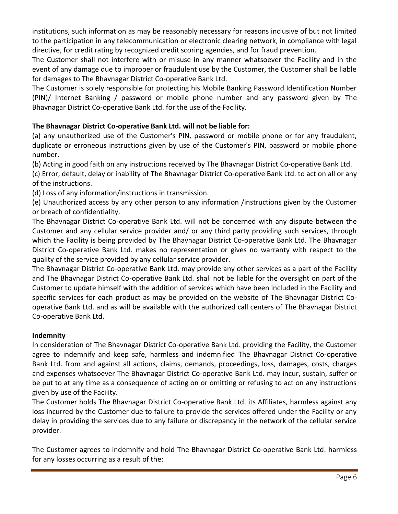institutions, such information as may be reasonably necessary for reasons inclusive of but not limited to the participation in any telecommunication or electronic clearing network, in compliance with legal directive, for credit rating by recognized credit scoring agencies, and for fraud prevention.

The Customer shall not interfere with or misuse in any manner whatsoever the Facility and in the event of any damage due to improper or fraudulent use by the Customer, the Customer shall be liable for damages to The Bhavnagar District Co-operative Bank Ltd.

The Customer is solely responsible for protecting his Mobile Banking Password Identification Number (PIN)/ Internet Banking / password or mobile phone number and any password given by The Bhavnagar District Co-operative Bank Ltd. for the use of the Facility.

# **The Bhavnagar District Co-operative Bank Ltd. will not be liable for:**

(a) any unauthorized use of the Customer's PIN, password or mobile phone or for any fraudulent, duplicate or erroneous instructions given by use of the Customer's PIN, password or mobile phone number.

(b) Acting in good faith on any instructions received by The Bhavnagar District Co-operative Bank Ltd.

(c) Error, default, delay or inability of The Bhavnagar District Co-operative Bank Ltd. to act on all or any of the instructions.

(d) Loss of any information/instructions in transmission.

(e) Unauthorized access by any other person to any information /instructions given by the Customer or breach of confidentiality.

The Bhavnagar District Co-operative Bank Ltd. will not be concerned with any dispute between the Customer and any cellular service provider and/ or any third party providing such services, through which the Facility is being provided by The Bhavnagar District Co-operative Bank Ltd. The Bhavnagar District Co-operative Bank Ltd. makes no representation or gives no warranty with respect to the quality of the service provided by any cellular service provider.

The Bhavnagar District Co-operative Bank Ltd. may provide any other services as a part of the Facility and The Bhavnagar District Co-operative Bank Ltd. shall not be liable for the oversight on part of the Customer to update himself with the addition of services which have been included in the Facility and specific services for each product as may be provided on the website of The Bhavnagar District Cooperative Bank Ltd. and as will be available with the authorized call centers of The Bhavnagar District Co-operative Bank Ltd.

# **Indemnity**

In consideration of The Bhavnagar District Co-operative Bank Ltd. providing the Facility, the Customer agree to indemnify and keep safe, harmless and indemnified The Bhavnagar District Co-operative Bank Ltd. from and against all actions, claims, demands, proceedings, loss, damages, costs, charges and expenses whatsoever The Bhavnagar District Co-operative Bank Ltd. may incur, sustain, suffer or be put to at any time as a consequence of acting on or omitting or refusing to act on any instructions given by use of the Facility.

The Customer holds The Bhavnagar District Co-operative Bank Ltd. its Affiliates, harmless against any loss incurred by the Customer due to failure to provide the services offered under the Facility or any delay in providing the services due to any failure or discrepancy in the network of the cellular service provider.

The Customer agrees to indemnify and hold The Bhavnagar District Co-operative Bank Ltd. harmless for any losses occurring as a result of the: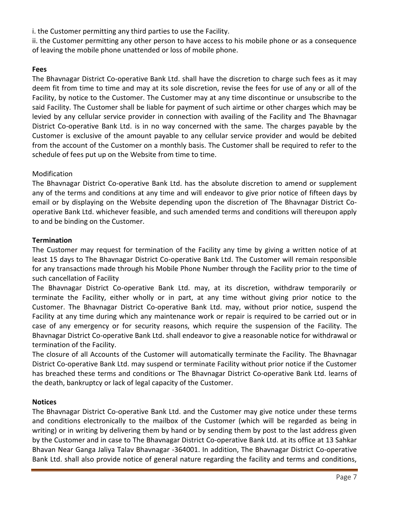i. the Customer permitting any third parties to use the Facility.

ii. the Customer permitting any other person to have access to his mobile phone or as a consequence of leaving the mobile phone unattended or loss of mobile phone.

# **Fees**

The Bhavnagar District Co-operative Bank Ltd. shall have the discretion to charge such fees as it may deem fit from time to time and may at its sole discretion, revise the fees for use of any or all of the Facility, by notice to the Customer. The Customer may at any time discontinue or unsubscribe to the said Facility. The Customer shall be liable for payment of such airtime or other charges which may be levied by any cellular service provider in connection with availing of the Facility and The Bhavnagar District Co-operative Bank Ltd. is in no way concerned with the same. The charges payable by the Customer is exclusive of the amount payable to any cellular service provider and would be debited from the account of the Customer on a monthly basis. The Customer shall be required to refer to the schedule of fees put up on the Website from time to time.

## Modification

The Bhavnagar District Co-operative Bank Ltd. has the absolute discretion to amend or supplement any of the terms and conditions at any time and will endeavor to give prior notice of fifteen days by email or by displaying on the Website depending upon the discretion of The Bhavnagar District Cooperative Bank Ltd. whichever feasible, and such amended terms and conditions will thereupon apply to and be binding on the Customer.

#### **Termination**

The Customer may request for termination of the Facility any time by giving a written notice of at least 15 days to The Bhavnagar District Co-operative Bank Ltd. The Customer will remain responsible for any transactions made through his Mobile Phone Number through the Facility prior to the time of such cancellation of Facility

The Bhavnagar District Co-operative Bank Ltd. may, at its discretion, withdraw temporarily or terminate the Facility, either wholly or in part, at any time without giving prior notice to the Customer. The Bhavnagar District Co-operative Bank Ltd. may, without prior notice, suspend the Facility at any time during which any maintenance work or repair is required to be carried out or in case of any emergency or for security reasons, which require the suspension of the Facility. The Bhavnagar District Co-operative Bank Ltd. shall endeavor to give a reasonable notice for withdrawal or termination of the Facility.

The closure of all Accounts of the Customer will automatically terminate the Facility. The Bhavnagar District Co-operative Bank Ltd. may suspend or terminate Facility without prior notice if the Customer has breached these terms and conditions or The Bhavnagar District Co-operative Bank Ltd. learns of the death, bankruptcy or lack of legal capacity of the Customer.

# **Notices**

The Bhavnagar District Co-operative Bank Ltd. and the Customer may give notice under these terms and conditions electronically to the mailbox of the Customer (which will be regarded as being in writing) or in writing by delivering them by hand or by sending them by post to the last address given by the Customer and in case to The Bhavnagar District Co-operative Bank Ltd. at its office at 13 Sahkar Bhavan Near Ganga Jaliya Talav Bhavnagar -364001. In addition, The Bhavnagar District Co-operative Bank Ltd. shall also provide notice of general nature regarding the facility and terms and conditions,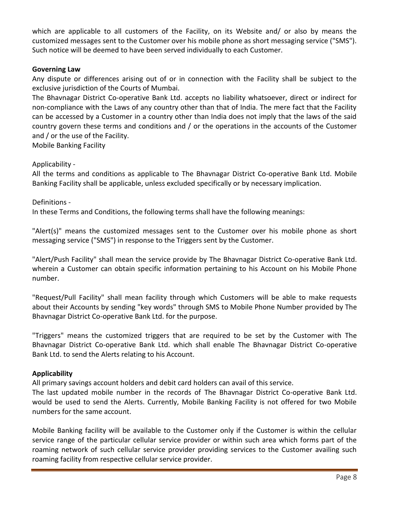which are applicable to all customers of the Facility, on its Website and/ or also by means the customized messages sent to the Customer over his mobile phone as short messaging service ("SMS"). Such notice will be deemed to have been served individually to each Customer.

## **Governing Law**

Any dispute or differences arising out of or in connection with the Facility shall be subject to the exclusive jurisdiction of the Courts of Mumbai.

The Bhavnagar District Co-operative Bank Ltd. accepts no liability whatsoever, direct or indirect for non-compliance with the Laws of any country other than that of India. The mere fact that the Facility can be accessed by a Customer in a country other than India does not imply that the laws of the said country govern these terms and conditions and / or the operations in the accounts of the Customer and / or the use of the Facility.

Mobile Banking Facility

## Applicability -

All the terms and conditions as applicable to The Bhavnagar District Co-operative Bank Ltd. Mobile Banking Facility shall be applicable, unless excluded specifically or by necessary implication.

## Definitions -

In these Terms and Conditions, the following terms shall have the following meanings:

"Alert(s)" means the customized messages sent to the Customer over his mobile phone as short messaging service ("SMS") in response to the Triggers sent by the Customer.

"Alert/Push Facility" shall mean the service provide by The Bhavnagar District Co-operative Bank Ltd. wherein a Customer can obtain specific information pertaining to his Account on his Mobile Phone number.

"Request/Pull Facility" shall mean facility through which Customers will be able to make requests about their Accounts by sending "key words" through SMS to Mobile Phone Number provided by The Bhavnagar District Co-operative Bank Ltd. for the purpose.

"Triggers" means the customized triggers that are required to be set by the Customer with The Bhavnagar District Co-operative Bank Ltd. which shall enable The Bhavnagar District Co-operative Bank Ltd. to send the Alerts relating to his Account.

# **Applicability**

All primary savings account holders and debit card holders can avail of this service.

The last updated mobile number in the records of The Bhavnagar District Co-operative Bank Ltd. would be used to send the Alerts. Currently, Mobile Banking Facility is not offered for two Mobile numbers for the same account.

Mobile Banking facility will be available to the Customer only if the Customer is within the cellular service range of the particular cellular service provider or within such area which forms part of the roaming network of such cellular service provider providing services to the Customer availing such roaming facility from respective cellular service provider.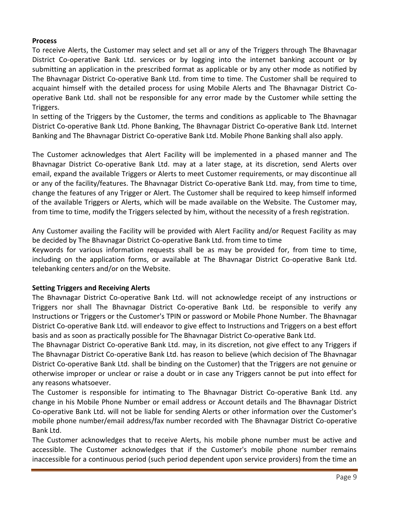# **Process**

To receive Alerts, the Customer may select and set all or any of the Triggers through The Bhavnagar District Co-operative Bank Ltd. services or by logging into the internet banking account or by submitting an application in the prescribed format as applicable or by any other mode as notified by The Bhavnagar District Co-operative Bank Ltd. from time to time. The Customer shall be required to acquaint himself with the detailed process for using Mobile Alerts and The Bhavnagar District Cooperative Bank Ltd. shall not be responsible for any error made by the Customer while setting the Triggers.

In setting of the Triggers by the Customer, the terms and conditions as applicable to The Bhavnagar District Co-operative Bank Ltd. Phone Banking, The Bhavnagar District Co-operative Bank Ltd. Internet Banking and The Bhavnagar District Co-operative Bank Ltd. Mobile Phone Banking shall also apply.

The Customer acknowledges that Alert Facility will be implemented in a phased manner and The Bhavnagar District Co-operative Bank Ltd. may at a later stage, at its discretion, send Alerts over email, expand the available Triggers or Alerts to meet Customer requirements, or may discontinue all or any of the facility/features. The Bhavnagar District Co-operative Bank Ltd. may, from time to time, change the features of any Trigger or Alert. The Customer shall be required to keep himself informed of the available Triggers or Alerts, which will be made available on the Website. The Customer may, from time to time, modify the Triggers selected by him, without the necessity of a fresh registration.

Any Customer availing the Facility will be provided with Alert Facility and/or Request Facility as may be decided by The Bhavnagar District Co-operative Bank Ltd. from time to time

Keywords for various information requests shall be as may be provided for, from time to time, including on the application forms, or available at The Bhavnagar District Co-operative Bank Ltd. telebanking centers and/or on the Website.

#### **Setting Triggers and Receiving Alerts**

The Bhavnagar District Co-operative Bank Ltd. will not acknowledge receipt of any instructions or Triggers nor shall The Bhavnagar District Co-operative Bank Ltd. be responsible to verify any Instructions or Triggers or the Customer's TPIN or password or Mobile Phone Number. The Bhavnagar District Co-operative Bank Ltd. will endeavor to give effect to Instructions and Triggers on a best effort basis and as soon as practically possible for The Bhavnagar District Co-operative Bank Ltd.

The Bhavnagar District Co-operative Bank Ltd. may, in its discretion, not give effect to any Triggers if The Bhavnagar District Co-operative Bank Ltd. has reason to believe (which decision of The Bhavnagar District Co-operative Bank Ltd. shall be binding on the Customer) that the Triggers are not genuine or otherwise improper or unclear or raise a doubt or in case any Triggers cannot be put into effect for any reasons whatsoever.

The Customer is responsible for intimating to The Bhavnagar District Co-operative Bank Ltd. any change in his Mobile Phone Number or email address or Account details and The Bhavnagar District Co-operative Bank Ltd. will not be liable for sending Alerts or other information over the Customer's mobile phone number/email address/fax number recorded with The Bhavnagar District Co-operative Bank Ltd.

The Customer acknowledges that to receive Alerts, his mobile phone number must be active and accessible. The Customer acknowledges that if the Customer's mobile phone number remains inaccessible for a continuous period (such period dependent upon service providers) from the time an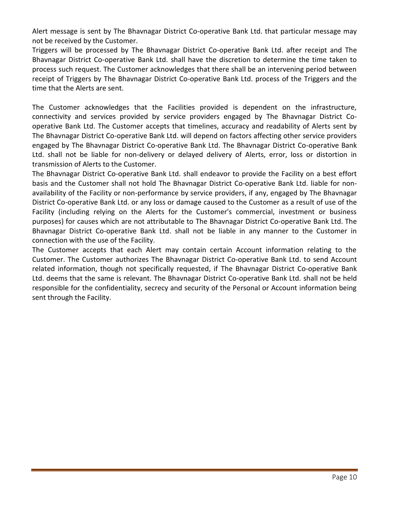Alert message is sent by The Bhavnagar District Co-operative Bank Ltd. that particular message may not be received by the Customer.

Triggers will be processed by The Bhavnagar District Co-operative Bank Ltd. after receipt and The Bhavnagar District Co-operative Bank Ltd. shall have the discretion to determine the time taken to process such request. The Customer acknowledges that there shall be an intervening period between receipt of Triggers by The Bhavnagar District Co-operative Bank Ltd. process of the Triggers and the time that the Alerts are sent.

The Customer acknowledges that the Facilities provided is dependent on the infrastructure, connectivity and services provided by service providers engaged by The Bhavnagar District Cooperative Bank Ltd. The Customer accepts that timelines, accuracy and readability of Alerts sent by The Bhavnagar District Co-operative Bank Ltd. will depend on factors affecting other service providers engaged by The Bhavnagar District Co-operative Bank Ltd. The Bhavnagar District Co-operative Bank Ltd. shall not be liable for non-delivery or delayed delivery of Alerts, error, loss or distortion in transmission of Alerts to the Customer.

The Bhavnagar District Co-operative Bank Ltd. shall endeavor to provide the Facility on a best effort basis and the Customer shall not hold The Bhavnagar District Co-operative Bank Ltd. liable for nonavailability of the Facility or non-performance by service providers, if any, engaged by The Bhavnagar District Co-operative Bank Ltd. or any loss or damage caused to the Customer as a result of use of the Facility (including relying on the Alerts for the Customer's commercial, investment or business purposes) for causes which are not attributable to The Bhavnagar District Co-operative Bank Ltd. The Bhavnagar District Co-operative Bank Ltd. shall not be liable in any manner to the Customer in connection with the use of the Facility.

The Customer accepts that each Alert may contain certain Account information relating to the Customer. The Customer authorizes The Bhavnagar District Co-operative Bank Ltd. to send Account related information, though not specifically requested, if The Bhavnagar District Co-operative Bank Ltd. deems that the same is relevant. The Bhavnagar District Co-operative Bank Ltd. shall not be held responsible for the confidentiality, secrecy and security of the Personal or Account information being sent through the Facility.